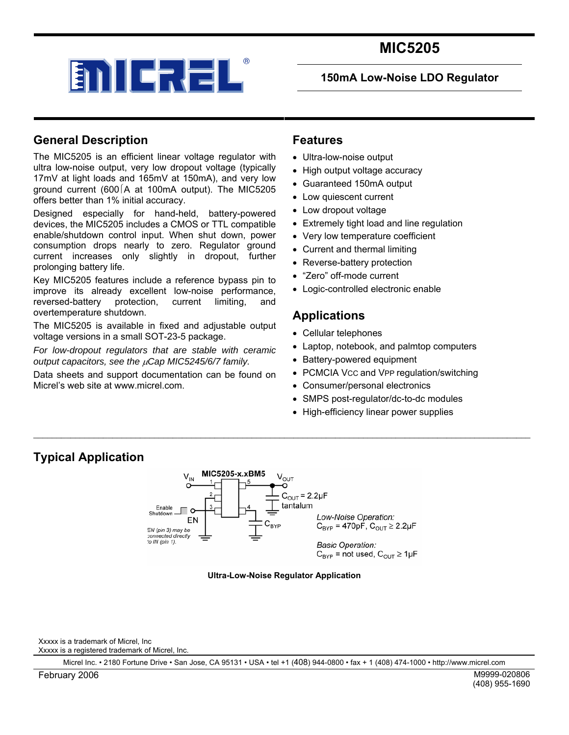

## **150mA Low-Noise LDO Regulator**

## **General Description**

The MIC5205 is an efficient linear voltage regulator with ultra low-noise output, very low dropout voltage (typically 17mV at light loads and 165mV at 150mA), and very low ground current (600⎧A at 100mA output). The MIC5205 offers better than 1% initial accuracy.

Designed especially for hand-held, battery-powered devices, the MIC5205 includes a CMOS or TTL compatible enable/shutdown control input. When shut down, power consumption drops nearly to zero. Regulator ground current increases only slightly in dropout, further prolonging battery life.

Key MIC5205 features include a reference bypass pin to improve its already excellent low-noise performance, reversed-battery protection, current limiting, and overtemperature shutdown.

The MIC5205 is available in fixed and adjustable output voltage versions in a small SOT-23-5 package.

*For low-dropout regulators that are stable with ceramic output capacitors, see the* µ*Cap MIC5245/6/7 family.*

Data sheets and support documentation can be found on Micrel's web site at www.micrel.com.

#### **Features**

- Ultra-low-noise output
- High output voltage accuracy
- Guaranteed 150mA output
- Low quiescent current
- Low dropout voltage
- Extremely tight load and line regulation
- Very low temperature coefficient
- Current and thermal limiting
- Reverse-battery protection
- "Zero" off-mode current
- Logic-controlled electronic enable

## **Applications**

- Cellular telephones
- Laptop, notebook, and palmtop computers
- Battery-powered equipment
- PCMCIA Vcc and VPP regulation/switching
- Consumer/personal electronics
- SMPS post-regulator/dc-to-dc modules
- High-efficiency linear power supplies

## **Typical Application**



\_\_\_\_\_\_\_\_\_\_\_\_\_\_\_\_\_\_\_\_\_\_\_\_\_\_\_\_\_\_\_\_\_\_\_\_\_\_\_\_\_\_\_\_\_\_\_\_\_\_\_\_\_\_\_\_\_\_\_\_\_\_\_\_\_\_\_\_\_\_\_\_\_\_\_\_\_\_\_\_\_\_\_\_\_\_\_\_\_\_\_\_\_\_\_\_\_\_\_\_\_\_\_\_\_\_\_

#### **Ultra-Low-Noise Regulator Application**

Xxxxx is a trademark of Micrel, Inc

Xxxxx is a registered trademark of Micrel, Inc.

Micrel Inc. • 2180 Fortune Drive • San Jose, CA 95131 • USA • tel +1 (408) 944-0800 • fax + 1 (408) 474-1000 • http://www.micrel.com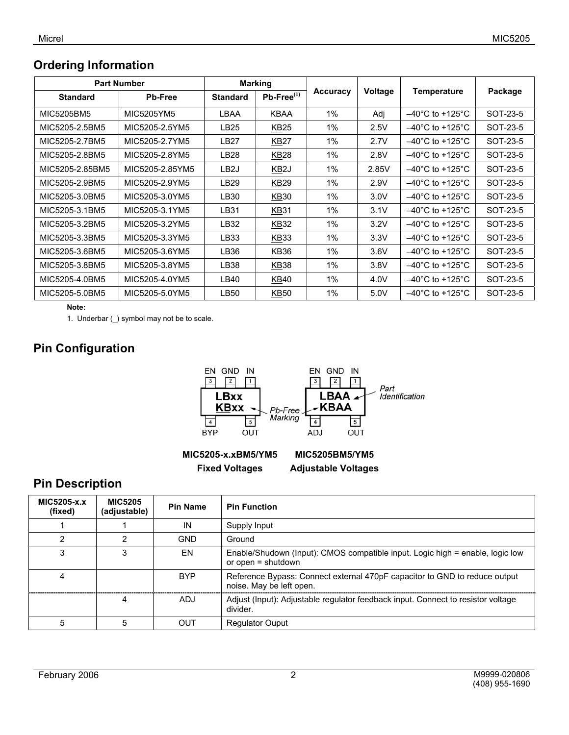# **Ordering Information**

| <b>Part Number</b> |                 | <b>Marking</b>    |                     |          |         |                                      |          |  |
|--------------------|-----------------|-------------------|---------------------|----------|---------|--------------------------------------|----------|--|
| <b>Standard</b>    | <b>Pb-Free</b>  | <b>Standard</b>   | $Pb$ -Free $^{(1)}$ | Accuracy | Voltage | Temperature                          | Package  |  |
| MIC5205BM5         | MIC5205YM5      | LBAA              | <b>KBAA</b>         | 1%       | Adj     | $-40^{\circ}$ C to +125 $^{\circ}$ C | SOT-23-5 |  |
| MIC5205-2.5BM5     | MIC5205-2.5YM5  | LB25              | <b>KB25</b>         | 1%       | 2.5V    | $-40^{\circ}$ C to +125 $^{\circ}$ C | SOT-23-5 |  |
| MIC5205-2.7BM5     | MIC5205-2.7YM5  | <b>LB27</b>       | <b>KB27</b>         | 1%       | 2.7V    | $-40^{\circ}$ C to +125 $^{\circ}$ C | SOT-23-5 |  |
| MIC5205-2.8BM5     | MIC5205-2.8YM5  | LB28              | <b>KB28</b>         | 1%       | 2.8V    | $-40^{\circ}$ C to +125 $^{\circ}$ C | SOT-23-5 |  |
| MIC5205-2.85BM5    | MIC5205-2.85YM5 | LB <sub>2</sub> J | KB <sub>2</sub> J   | $1\%$    | 2.85V   | $-40^{\circ}$ C to +125 $^{\circ}$ C | SOT-23-5 |  |
| MIC5205-2.9BM5     | MIC5205-2.9YM5  | LB29              | <b>KB29</b>         | 1%       | 2.9V    | $-40^{\circ}$ C to +125 $^{\circ}$ C | SOT-23-5 |  |
| MIC5205-3.0BM5     | MIC5205-3.0YM5  | LB30              | <b>KB30</b>         | $1\%$    | 3.0V    | $-40^{\circ}$ C to +125 $^{\circ}$ C | SOT-23-5 |  |
| MIC5205-3.1BM5     | MIC5205-3.1YM5  | LB31              | <b>KB31</b>         | 1%       | 3.1V    | $-40^{\circ}$ C to +125 $^{\circ}$ C | SOT-23-5 |  |
| MIC5205-3.2BM5     | MIC5205-3.2YM5  | LB32              | <b>KB32</b>         | $1\%$    | 3.2V    | $-40^{\circ}$ C to +125 $^{\circ}$ C | SOT-23-5 |  |
| MIC5205-3.3BM5     | MIC5205-3.3YM5  | LB33              | KB33                | $1\%$    | 3.3V    | $-40^{\circ}$ C to +125 $^{\circ}$ C | SOT-23-5 |  |
| MIC5205-3.6BM5     | MIC5205-3.6YM5  | LB36              | <b>KB36</b>         | 1%       | 3.6V    | $-40^{\circ}$ C to +125 $^{\circ}$ C | SOT-23-5 |  |
| MIC5205-3.8BM5     | MIC5205-3.8YM5  | LB38              | KB38                | 1%       | 3.8V    | $-40^{\circ}$ C to +125 $^{\circ}$ C | SOT-23-5 |  |
| MIC5205-4.0BM5     | MIC5205-4.0YM5  | LB40              | KB40                | $1\%$    | 4.0V    | $-40^{\circ}$ C to +125 $^{\circ}$ C | SOT-23-5 |  |
| MIC5205-5.0BM5     | MIC5205-5.0YM5  | <b>LB50</b>       | <b>KB50</b>         | 1%       | 5.0V    | $-40^{\circ}$ C to +125 $^{\circ}$ C | SOT-23-5 |  |

#### **Note:**

1. Underbar (\_) symbol may not be to scale.

# **Pin Configuration**



## **MIC5205-x.xBM5/YM5 MIC5205BM5/YM5 Fixed Voltages Adjustable Voltages**

# **Pin Description**

| MIC5205-x.x<br>(fixed) | <b>MIC5205</b><br>(adjustable) | <b>Pin Name</b> | <b>Pin Function</b>                                                                                    |
|------------------------|--------------------------------|-----------------|--------------------------------------------------------------------------------------------------------|
|                        |                                | IN              | Supply Input                                                                                           |
| 2                      | ົ                              | <b>GND</b>      | Ground                                                                                                 |
| 3                      | 3                              | EN              | Enable/Shudown (Input): CMOS compatible input. Logic high = enable, logic low<br>or open $=$ shutdown  |
| 4                      |                                | <b>BYP</b>      | Reference Bypass: Connect external 470pF capacitor to GND to reduce output<br>noise. May be left open. |
|                        |                                | ADJ             | Adjust (Input): Adjustable regulator feedback input. Connect to resistor voltage<br>divider.           |
| 5                      | 5                              | OUT             | <b>Regulator Ouput</b>                                                                                 |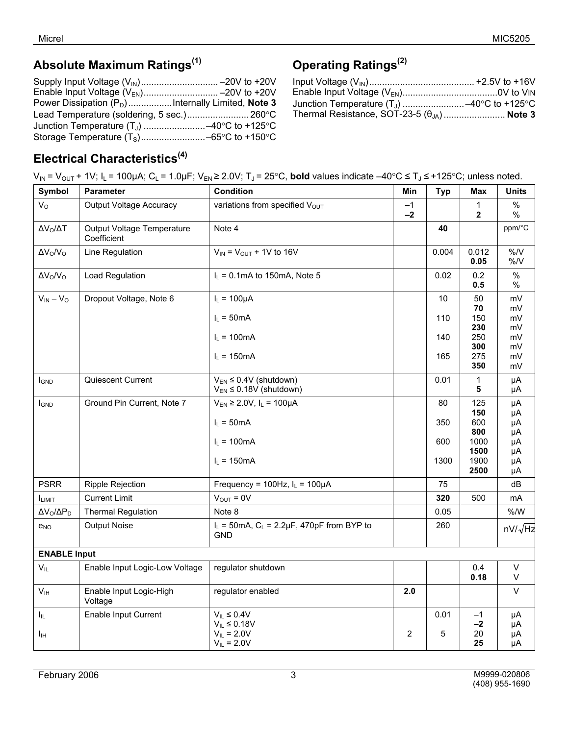# **Absolute Maximum Ratings(1)**

| Power Dissipation (P <sub>D</sub> )Internally Limited, Note 3 |  |
|---------------------------------------------------------------|--|
|                                                               |  |
|                                                               |  |
|                                                               |  |

# **Operating Ratings(2)**

| Thermal Resistance, SOT-23-5 $(\theta_{JA})$ Note 3 |  |
|-----------------------------------------------------|--|

# **Electrical Characteristics(4)**

| Symbol                    | Parameter                                 | <b>Condition</b>                                                   | Min            | <b>Typ</b> | <b>Max</b>    | <b>Units</b>          |
|---------------------------|-------------------------------------------|--------------------------------------------------------------------|----------------|------------|---------------|-----------------------|
| $V_{\rm O}$               | <b>Output Voltage Accuracy</b>            | variations from specified V <sub>OUT</sub>                         | $-1$<br>$-2$   |            | $\mathbf{2}$  | $\%$<br>$\%$          |
| $\Delta V_O/\Delta T$     | Output Voltage Temperature<br>Coefficient | Note 4                                                             |                | 40         |               | ppm/°C                |
| $\Delta V_0/V_0$          | Line Regulation                           | $V_{IN} = V_{OUT} + 1V$ to 16V                                     |                | 0.004      | 0.012<br>0.05 | %N<br>%N              |
| $\Delta V_0/V_0$          | Load Regulation                           | $I_L$ = 0.1mA to 150mA, Note 5                                     |                | 0.02       | 0.2<br>0.5    | $\%$<br>$\frac{0}{0}$ |
| $V_{IN} - V_{O}$          | Dropout Voltage, Note 6                   | $I_L = 100 \mu A$                                                  |                | 10         | 50<br>70      | mV<br>mV              |
|                           |                                           | $I_L = 50mA$                                                       |                | 110        | 150<br>230    | mV<br>mV              |
|                           |                                           | $I_L = 100mA$                                                      |                | 140        | 250<br>300    | mV<br>mV              |
|                           |                                           | $I_L = 150mA$                                                      |                | 165        | 275<br>350    | mV<br>mV              |
| <b>I</b> GND              | Quiescent Current                         | $V_{EN} \leq 0.4V$ (shutdown)<br>$V_{EN} \leq 0.18V$ (shutdown)    |                | 0.01       | 1<br>5        | μA<br>μA              |
| <b>I</b> GND              | Ground Pin Current, Note 7                | $V_{EN} \ge 2.0 V$ , $I_L = 100 \mu A$                             |                | 80         | 125<br>150    | μA<br>μA              |
|                           |                                           | $I_L = 50mA$                                                       |                | 350        | 600<br>800    | μA<br>μA              |
|                           |                                           | $I_L = 100mA$                                                      |                | 600        | 1000<br>1500  | μA<br>μA              |
|                           |                                           | $I_L = 150mA$                                                      |                | 1300       | 1900<br>2500  | μA<br>μA              |
| <b>PSRR</b>               | <b>Ripple Rejection</b>                   | Frequency = $100$ Hz, $I_L$ = $100 \mu$ A                          |                | 75         |               | dB                    |
| <b>ILIMIT</b>             | <b>Current Limit</b>                      | $V_{OUT} = 0V$                                                     |                | 320        | 500           | mA                    |
| $\Delta V_O / \Delta P_D$ | <b>Thermal Regulation</b>                 | Note 8                                                             |                | 0.05       |               | % /W                  |
| e <sub>NO</sub>           | <b>Output Noise</b>                       | $I_L$ = 50mA, $C_L$ = 2.2 $\mu$ F, 470pF from BYP to<br><b>GND</b> |                | 260        |               | $nV/\sqrt{Hz}$        |
| <b>ENABLE Input</b>       |                                           |                                                                    |                |            |               |                       |
| $V_{IL}$                  | Enable Input Logic-Low Voltage            | regulator shutdown                                                 |                |            | 0.4<br>0.18   | V<br>V                |
| V <sub>IH</sub>           | Enable Input Logic-High<br>Voltage        | regulator enabled                                                  | 2.0            |            |               | $\vee$                |
| $I_{\rm IL}$              | Enable Input Current                      | $V_{IL} \leq 0.4V$<br>$V_{IL} \leq 0.18V$                          |                | 0.01       | $-1$<br>$-2$  | μA<br>μA              |
| I <sub>IH</sub>           |                                           | $V_{IL} = 2.0 V$<br>$V_{IL} = 2.0 V$                               | $\overline{2}$ | 5          | 20<br>25      | μA<br>μA              |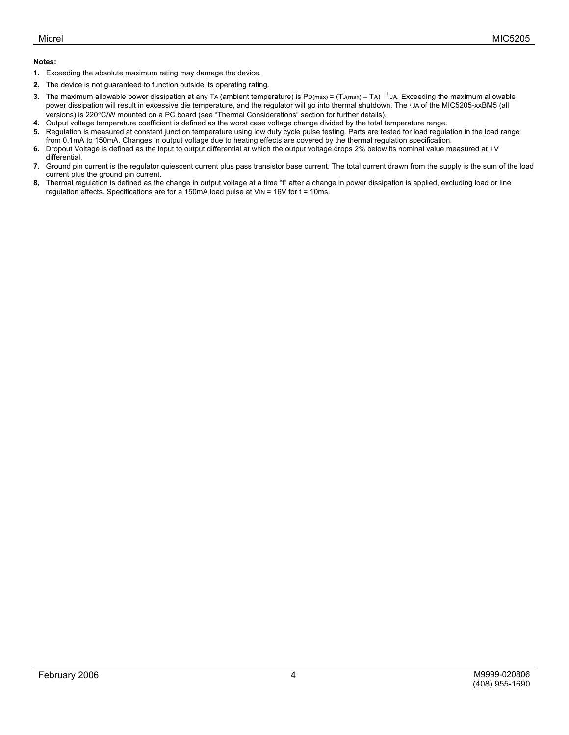#### **Notes:**

- **1.** Exceeding the absolute maximum rating may damage the device.
- **2.** The device is not guaranteed to function outside its operating rating.
- **3.** The maximum allowable power dissipation at any TA (ambient temperature) is PD(max) = (TJ(max) TA) | JA. Exceeding the maximum allowable power dissipation will result in excessive die temperature, and the regulator will go into thermal shutdown. The  $\downarrow$ A of the MIC5205-xxBM5 (all versions) is 220°C/W mounted on a PC board (see "Thermal Considerations" section for further details).
- **4.** Output voltage temperature coefficient is defined as the worst case voltage change divided by the total temperature range.
- **5.** Regulation is measured at constant junction temperature using low duty cycle pulse testing. Parts are tested for load regulation in the load range from 0.1mA to 150mA. Changes in output voltage due to heating effects are covered by the thermal regulation specification.
- **6.** Dropout Voltage is defined as the input to output differential at which the output voltage drops 2% below its nominal value measured at 1V differential.
- **7.** Ground pin current is the regulator quiescent current plus pass transistor base current. The total current drawn from the supply is the sum of the load current plus the ground pin current.
- **8,** Thermal regulation is defined as the change in output voltage at a time "t" after a change in power dissipation is applied, excluding load or line regulation effects. Specifications are for a 150mA load pulse at VIN = 16V for t = 10ms.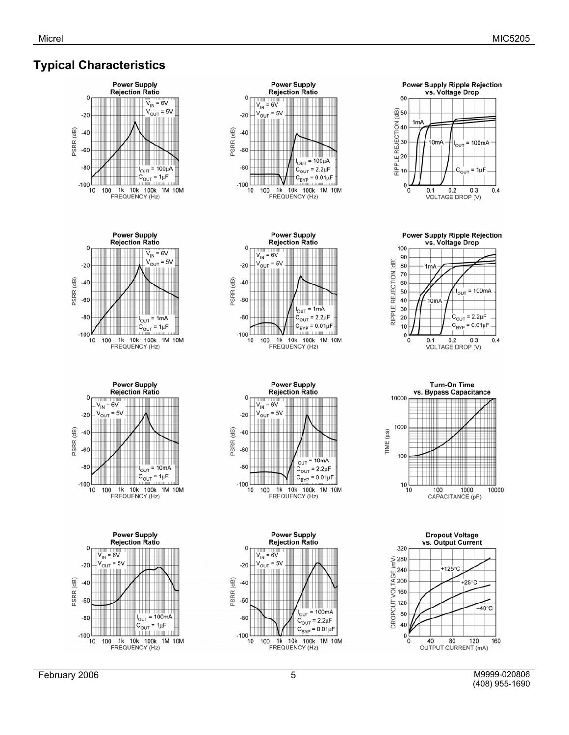







Power Supply Ripple Rejection<br>vs. Voltage Drop

 $= 100mA$ OUT

60

 $1m$ 

<u>මු</u> 50

30

 $\leq$ 40



1k 10k 100k 1M 10M

100 1k 10k 100k<br>FREQUENCY (Hz)

10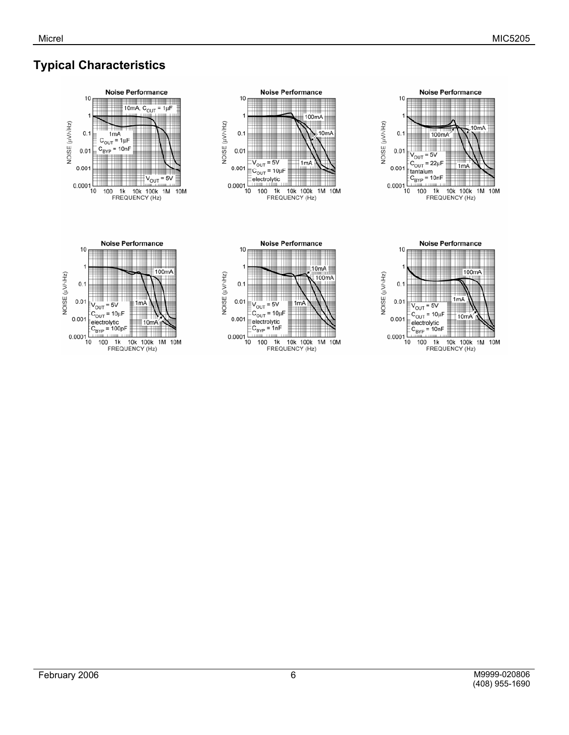# **Typical Characteristics**

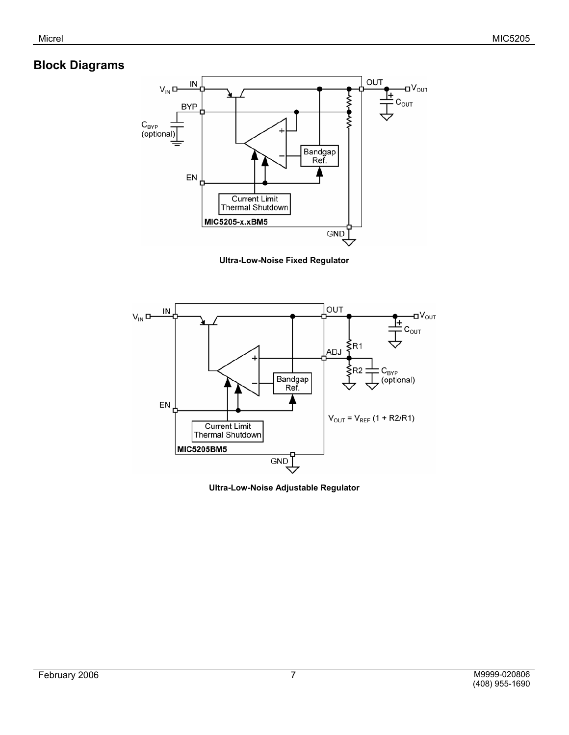# **Block Diagrams**



**Ultra-Low-Noise Fixed Regulator**



**Ultra-Low-Noise Adjustable Regulator**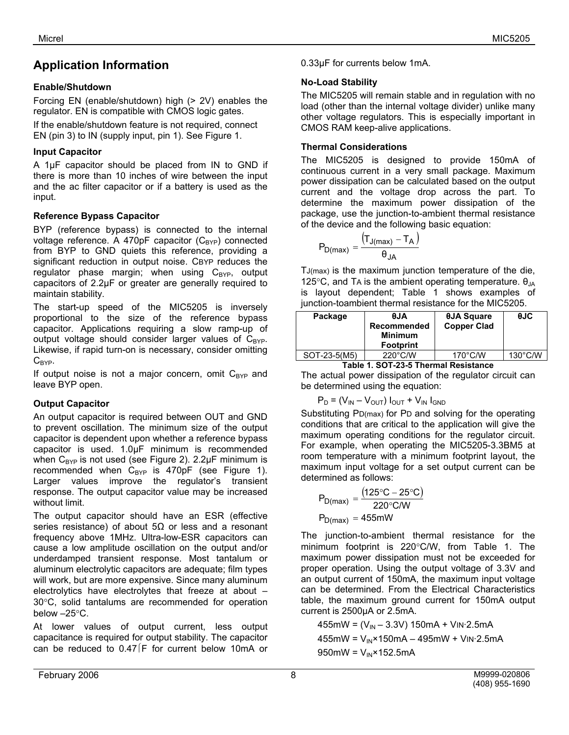# **Application Information**

### **Enable/Shutdown**

Forcing EN (enable/shutdown) high (> 2V) enables the regulator. EN is compatible with CMOS logic gates.

If the enable/shutdown feature is not required, connect EN (pin 3) to IN (supply input, pin 1). See Figure 1.

### **Input Capacitor**

A 1µF capacitor should be placed from IN to GND if there is more than 10 inches of wire between the input and the ac filter capacitor or if a battery is used as the input.

## **Reference Bypass Capacitor**

BYP (reference bypass) is connected to the internal voltage reference. A 470pF capacitor  $(C_{BYP})$  connected from BYP to GND quiets this reference, providing a significant reduction in output noise. CBYP reduces the regulator phase margin; when using  $C_{BYP}$ , output capacitors of 2.2µF or greater are generally required to maintain stability.

The start-up speed of the MIC5205 is inversely proportional to the size of the reference bypass capacitor. Applications requiring a slow ramp-up of output voltage should consider larger values of  $C_{\text{BYP}}$ . Likewise, if rapid turn-on is necessary, consider omitting  $C_{BYP}$ .

If output noise is not a major concern, omit  $C_{BYP}$  and leave BYP open.

## **Output Capacitor**

An output capacitor is required between OUT and GND to prevent oscillation. The minimum size of the output capacitor is dependent upon whether a reference bypass capacitor is used. 1.0µF minimum is recommended when  $C_{BYP}$  is not used (see Figure 2). 2.2 $\mu$ F minimum is recommended when  $C_{BYP}$  is 470pF (see Figure 1). Larger values improve the regulator's transient response. The output capacitor value may be increased without limit.

The output capacitor should have an ESR (effective series resistance) of about 5 $\Omega$  or less and a resonant frequency above 1MHz. Ultra-low-ESR capacitors can cause a low amplitude oscillation on the output and/or underdamped transient response. Most tantalum or aluminum electrolytic capacitors are adequate; film types will work, but are more expensive. Since many aluminum electrolytics have electrolytes that freeze at about – 30°C, solid tantalums are recommended for operation below –25°C.

At lower values of output current, less output capacitance is required for output stability. The capacitor can be reduced to 0.47⎧F for current below 10mA or

0.33µF for currents below 1mA.

## **No-Load Stability**

The MIC5205 will remain stable and in regulation with no load (other than the internal voltage divider) unlike many other voltage regulators. This is especially important in CMOS RAM keep-alive applications.

## **Thermal Considerations**

The MIC5205 is designed to provide 150mA of continuous current in a very small package. Maximum power dissipation can be calculated based on the output current and the voltage drop across the part. To determine the maximum power dissipation of the package, use the junction-to-ambient thermal resistance of the device and the following basic equation:

$$
P_{D(max)} = \frac{(T_{J(max)} - T_A)}{\theta_{JA}}
$$

TJ(max) is the maximum junction temperature of the die, 125 $\degree$ C, and TA is the ambient operating temperature.  $\theta_{\text{JA}}$ is layout dependent; Table 1 shows examples of junction-toambient thermal resistance for the MIC5205.

| Package                              | θJΑ<br><b>Recommended</b><br><b>Minimum</b><br><b>Footprint</b> | <b>OJA Square</b><br><b>Copper Clad</b> | $\theta$ J $C$    |  |  |
|--------------------------------------|-----------------------------------------------------------------|-----------------------------------------|-------------------|--|--|
| SOT-23-5(M5)                         | $220^{\circ}$ C/W                                               | $170^{\circ}$ C/W                       | $130^{\circ}$ C/W |  |  |
| Table 1. SOT-23-5 Thermal Resistance |                                                                 |                                         |                   |  |  |

The actual power dissipation of the regulator circuit can be determined using the equation:

$$
P_D = (V_{IN} - V_{OUT}) I_{OUT} + V_{IN} I_{GND}
$$

Substituting PD(max) for PD and solving for the operating conditions that are critical to the application will give the maximum operating conditions for the regulator circuit. For example, when operating the MIC5205-3.3BM5 at room temperature with a minimum footprint layout, the maximum input voltage for a set output current can be determined as follows:

$$
P_{D(max)} = \frac{(125\degree C - 25\degree C)}{220\degree C/W}
$$

$$
P_{D(max)} = 455mW
$$

The junction-to-ambient thermal resistance for the minimum footprint is 220°C/W, from Table 1. The maximum power dissipation must not be exceeded for proper operation. Using the output voltage of 3.3V and an output current of 150mA, the maximum input voltage can be determined. From the Electrical Characteristics table, the maximum ground current for 150mA output current is 2500µA or 2.5mA.

 $455$ mW = (V<sub>IN</sub> - 3.3V) 150mA + VIN·2.5mA  $455$ mW =  $V_{IN}$ ×150mA – 495mW + VIN $\cdot$ 2.5mA  $950$ mW =  $V_{IN}$ ×152.5mA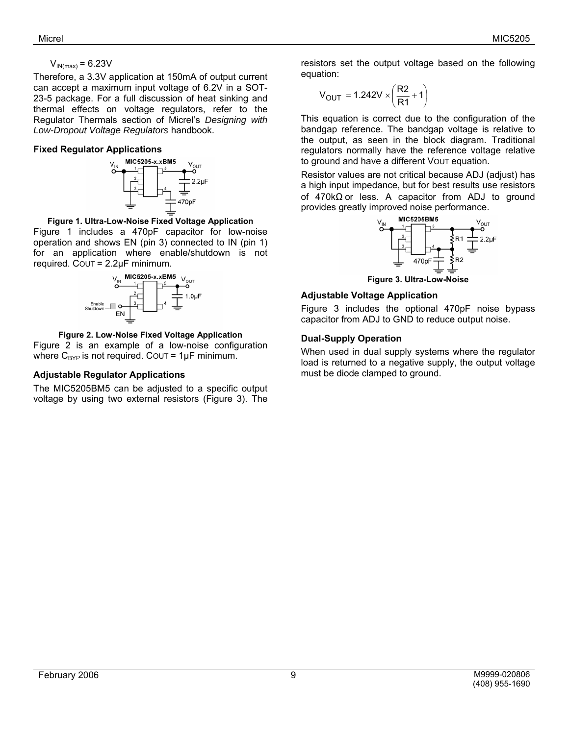#### $V_{IN(max)} = 6.23V$

Therefore, a 3.3V application at 150mA of output current can accept a maximum input voltage of 6.2V in a SOT-23-5 package. For a full discussion of heat sinking and thermal effects on voltage regulators, refer to the Regulator Thermals section of Micrel's *Designing with Low-Dropout Voltage Regulators* handbook.

#### **Fixed Regulator Applications**



#### **Figure 1. Ultra-Low-Noise Fixed Voltage Application**

Figure 1 includes a 470pF capacitor for low-noise operation and shows EN (pin 3) connected to IN (pin 1) for an application where enable/shutdown is not required. COUT =  $2.2\mu$ F minimum.



#### **Figure 2. Low-Noise Fixed Voltage Application**

Figure 2 is an example of a low-noise configuration where  $C_{BYP}$  is not required. COUT = 1µF minimum.

#### **Adjustable Regulator Applications**

The MIC5205BM5 can be adjusted to a specific output voltage by using two external resistors (Figure 3). The resistors set the output voltage based on the following equation:

$$
V_{OUT} = 1.242V \times \left(\frac{R2}{R1} + 1\right)
$$

This equation is correct due to the configuration of the bandgap reference. The bandgap voltage is relative to the output, as seen in the block diagram. Traditional regulators normally have the reference voltage relative to ground and have a different VOUT equation.

Resistor values are not critical because ADJ (adjust) has a high input impedance, but for best results use resistors of 470kΩ or less. A capacitor from ADJ to ground provides greatly improved noise performance.



**Figure 3. Ultra-Low-Noise** 

#### **Adjustable Voltage Application**

Figure 3 includes the optional 470pF noise bypass capacitor from ADJ to GND to reduce output noise.

#### **Dual-Supply Operation**

When used in dual supply systems where the regulator load is returned to a negative supply, the output voltage must be diode clamped to ground.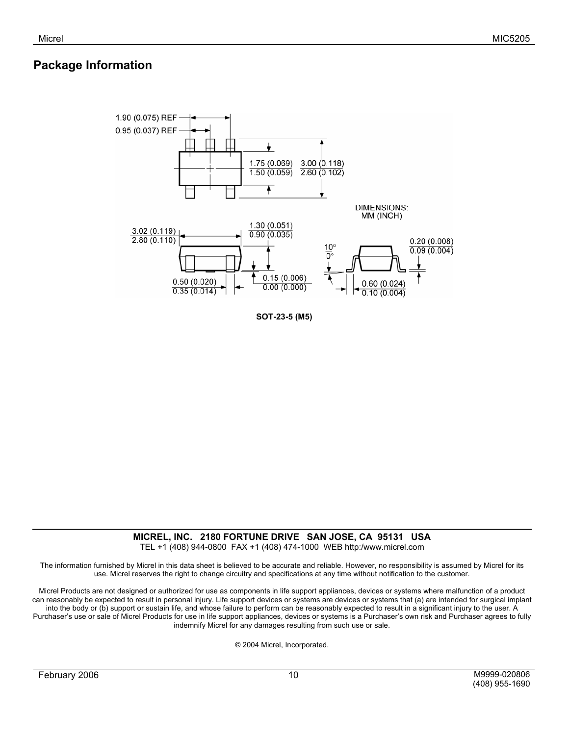# **Package Information**



**SOT-23-5 (M5)**

#### **MICREL, INC. 2180 FORTUNE DRIVE SAN JOSE, CA 95131 USA**  TEL +1 (408) 944-0800 FAX +1 (408) 474-1000 WEB http:/www.micrel.com

The information furnished by Micrel in this data sheet is believed to be accurate and reliable. However, no responsibility is assumed by Micrel for its use. Micrel reserves the right to change circuitry and specifications at any time without notification to the customer.

Micrel Products are not designed or authorized for use as components in life support appliances, devices or systems where malfunction of a product can reasonably be expected to result in personal injury. Life support devices or systems are devices or systems that (a) are intended for surgical implant into the body or (b) support or sustain life, and whose failure to perform can be reasonably expected to result in a significant injury to the user. A Purchaser's use or sale of Micrel Products for use in life support appliances, devices or systems is a Purchaser's own risk and Purchaser agrees to fully indemnify Micrel for any damages resulting from such use or sale.

© 2004 Micrel, Incorporated.